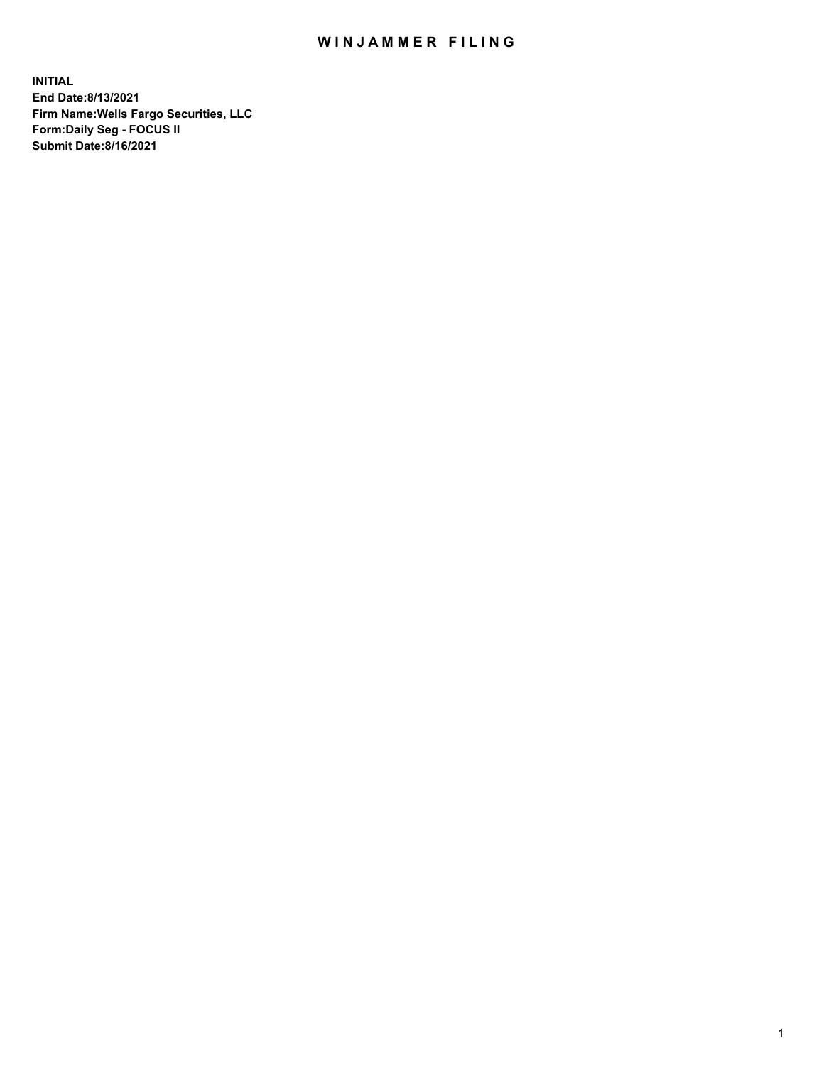## WIN JAMMER FILING

**INITIAL End Date:8/13/2021 Firm Name:Wells Fargo Securities, LLC Form:Daily Seg - FOCUS II Submit Date:8/16/2021**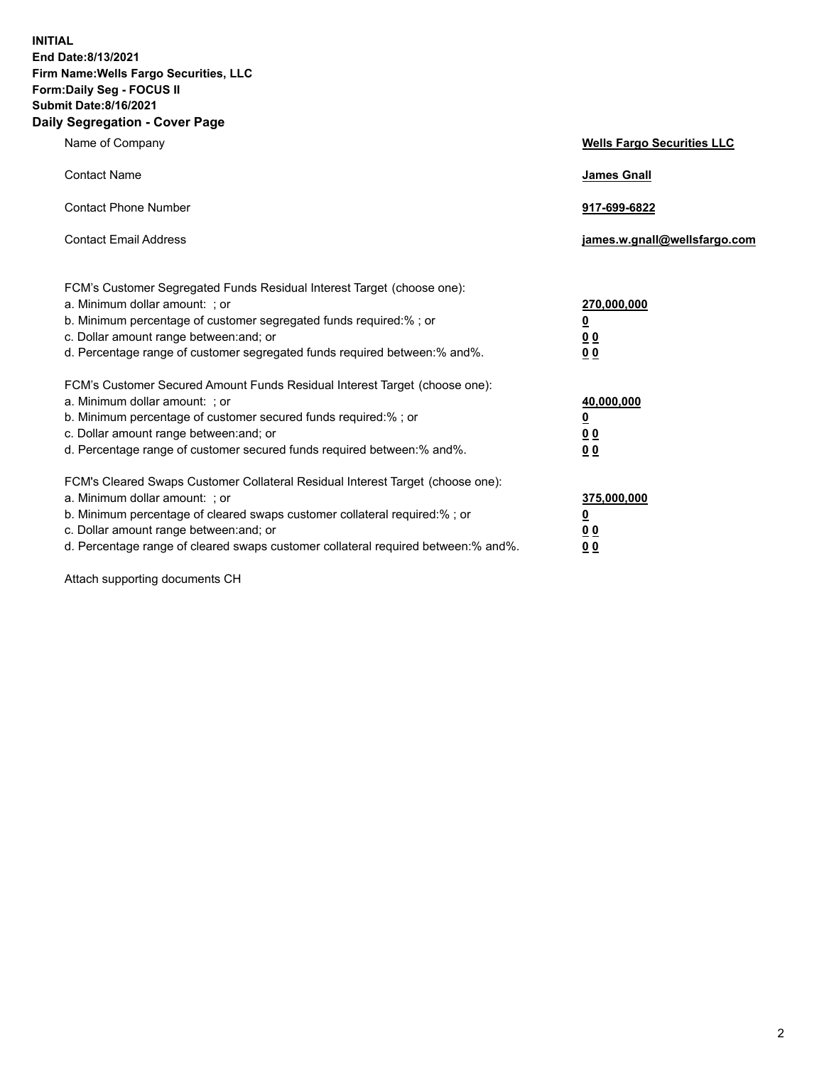**INITIAL End Date:8/13/2021 Firm Name:Wells Fargo Securities, LLC Form:Daily Seg - FOCUS II Submit Date:8/16/2021 Daily Segregation - Cover Page**

| Name of Company                                                                                                                                                                                                                                                                                                                | <b>Wells Fargo Securities LLC</b>                          |
|--------------------------------------------------------------------------------------------------------------------------------------------------------------------------------------------------------------------------------------------------------------------------------------------------------------------------------|------------------------------------------------------------|
| <b>Contact Name</b>                                                                                                                                                                                                                                                                                                            | <b>James Gnall</b>                                         |
| <b>Contact Phone Number</b>                                                                                                                                                                                                                                                                                                    | 917-699-6822                                               |
| <b>Contact Email Address</b>                                                                                                                                                                                                                                                                                                   | james.w.gnall@wellsfargo.com                               |
| FCM's Customer Segregated Funds Residual Interest Target (choose one):<br>a. Minimum dollar amount: ; or<br>b. Minimum percentage of customer segregated funds required:% ; or<br>c. Dollar amount range between: and; or<br>d. Percentage range of customer segregated funds required between: % and %.                       | 270,000,000<br><u>0</u><br><u>00</u><br>0 <sub>0</sub>     |
| FCM's Customer Secured Amount Funds Residual Interest Target (choose one):<br>a. Minimum dollar amount: ; or<br>b. Minimum percentage of customer secured funds required:% ; or<br>c. Dollar amount range between: and; or<br>d. Percentage range of customer secured funds required between: % and %.                         | 40,000,000<br><u>0</u><br>0 <sub>0</sub><br>0 <sub>0</sub> |
| FCM's Cleared Swaps Customer Collateral Residual Interest Target (choose one):<br>a. Minimum dollar amount: ; or<br>b. Minimum percentage of cleared swaps customer collateral required:% ; or<br>c. Dollar amount range between: and; or<br>d. Percentage range of cleared swaps customer collateral required between:% and%. | 375,000,000<br><u>0</u><br>00<br><u>00</u>                 |

Attach supporting documents CH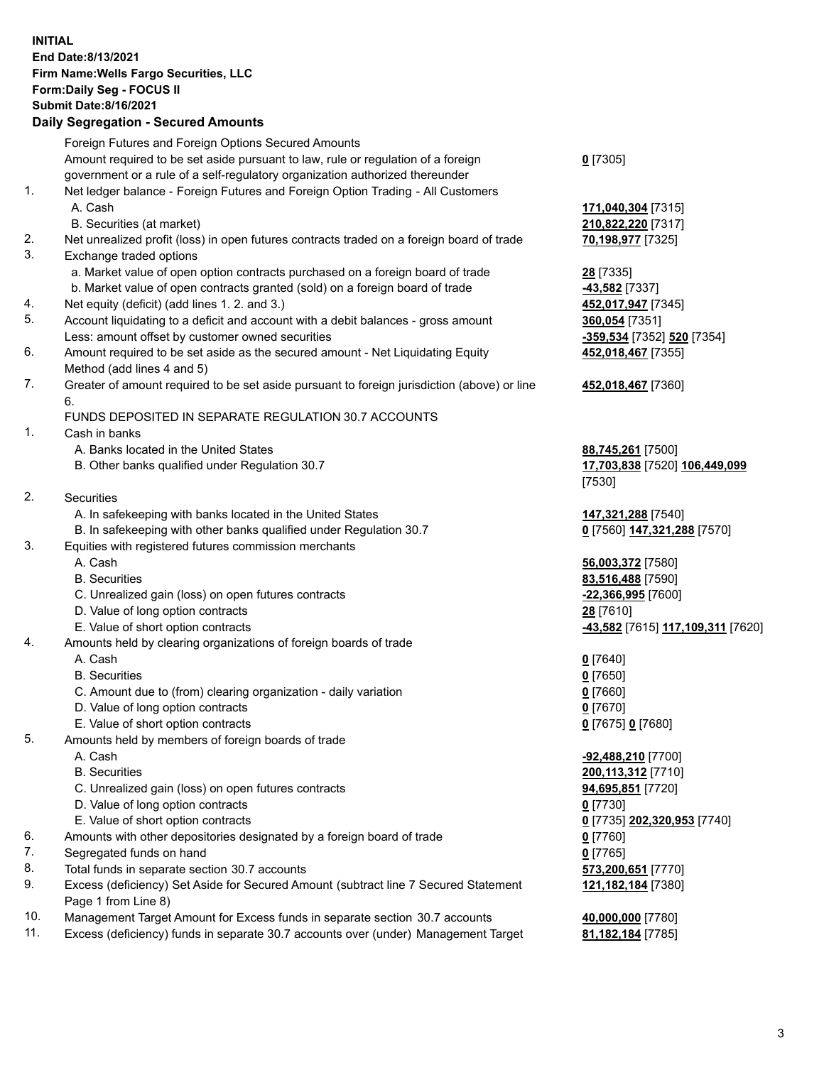**INITIAL End Date:8/13/2021 Firm Name:Wells Fargo Securities, LLC Form:Daily Seg - FOCUS II Submit Date:8/16/2021**

## **Daily Segregation - Secured Amounts**

|    | Foreign Futures and Foreign Options Secured Amounts                                         |                                   |
|----|---------------------------------------------------------------------------------------------|-----------------------------------|
|    | Amount required to be set aside pursuant to law, rule or regulation of a foreign            | $0$ [7305]                        |
|    | government or a rule of a self-regulatory organization authorized thereunder                |                                   |
| 1. | Net ledger balance - Foreign Futures and Foreign Option Trading - All Customers             |                                   |
|    | A. Cash                                                                                     | 171,040,304 [7315]                |
|    | B. Securities (at market)                                                                   | 210,822,220 [7317]                |
| 2. | Net unrealized profit (loss) in open futures contracts traded on a foreign board of trade   | 70,198,977 [7325]                 |
| 3. | Exchange traded options                                                                     |                                   |
|    | a. Market value of open option contracts purchased on a foreign board of trade              | 28 [7335]                         |
|    | b. Market value of open contracts granted (sold) on a foreign board of trade                | -43,582 [7337]                    |
| 4. | Net equity (deficit) (add lines 1. 2. and 3.)                                               | 452,017,947 [7345]                |
| 5. | Account liquidating to a deficit and account with a debit balances - gross amount           | 360,054 [7351]                    |
|    | Less: amount offset by customer owned securities                                            | -359,534 [7352] 520 [7354]        |
| 6. | Amount required to be set aside as the secured amount - Net Liquidating Equity              | 452,018,467 [7355]                |
|    | Method (add lines 4 and 5)                                                                  |                                   |
| 7. | Greater of amount required to be set aside pursuant to foreign jurisdiction (above) or line | 452,018,467 [7360]                |
|    | 6.                                                                                          |                                   |
|    | FUNDS DEPOSITED IN SEPARATE REGULATION 30.7 ACCOUNTS                                        |                                   |
| 1. | Cash in banks                                                                               |                                   |
|    | A. Banks located in the United States                                                       | 88,745,261 [7500]                 |
|    | B. Other banks qualified under Regulation 30.7                                              | 17,703,838 [7520] 106,449,099     |
|    |                                                                                             | [7530]                            |
| 2. | <b>Securities</b>                                                                           |                                   |
|    | A. In safekeeping with banks located in the United States                                   | 147,321,288 [7540]                |
|    | B. In safekeeping with other banks qualified under Regulation 30.7                          | 0 [7560] 147,321,288 [7570]       |
| 3. | Equities with registered futures commission merchants                                       |                                   |
|    | A. Cash                                                                                     | 56,003,372 [7580]                 |
|    | <b>B.</b> Securities                                                                        | 83,516,488 [7590]                 |
|    | C. Unrealized gain (loss) on open futures contracts                                         | -22,366,995 [7600]                |
|    | D. Value of long option contracts                                                           | 28 [7610]                         |
|    | E. Value of short option contracts                                                          | -43,582 [7615] 117,109,311 [7620] |
| 4. | Amounts held by clearing organizations of foreign boards of trade                           |                                   |
|    | A. Cash                                                                                     | $0$ [7640]                        |
|    | <b>B.</b> Securities                                                                        | $0$ [7650]                        |
|    | C. Amount due to (from) clearing organization - daily variation                             | $0$ [7660]                        |
|    | D. Value of long option contracts                                                           | $0$ [7670]                        |
|    | E. Value of short option contracts                                                          | 0 [7675] 0 [7680]                 |
| 5. | Amounts held by members of foreign boards of trade                                          |                                   |
|    | A. Cash                                                                                     | -92,488,210 [7700]                |
|    | <b>B.</b> Securities                                                                        | 200, 113, 312 [7710]              |
|    | C. Unrealized gain (loss) on open futures contracts                                         | 94,695,851 [7720]                 |
|    | D. Value of long option contracts                                                           | $0$ [7730]                        |
|    | E. Value of short option contracts                                                          | 0 [7735] 202,320,953 [7740]       |
| 6. | Amounts with other depositories designated by a foreign board of trade                      | $0$ [7760]                        |
| 7. | Segregated funds on hand                                                                    | $0$ [7765]                        |
| 8. | Total funds in separate section 30.7 accounts                                               | 573,200,651 [7770]                |
| 9. | Excess (deficiency) Set Aside for Secured Amount (subtract line 7 Secured Statement         | 121, 182, 184 [7380]              |
|    | Page 1 from Line 8)                                                                         |                                   |
|    |                                                                                             |                                   |

- 10. Management Target Amount for Excess funds in separate section 30.7 accounts **40,000,000** [7780]
- 11. Excess (deficiency) funds in separate 30.7 accounts over (under) Management Target **81,182,184** [7785]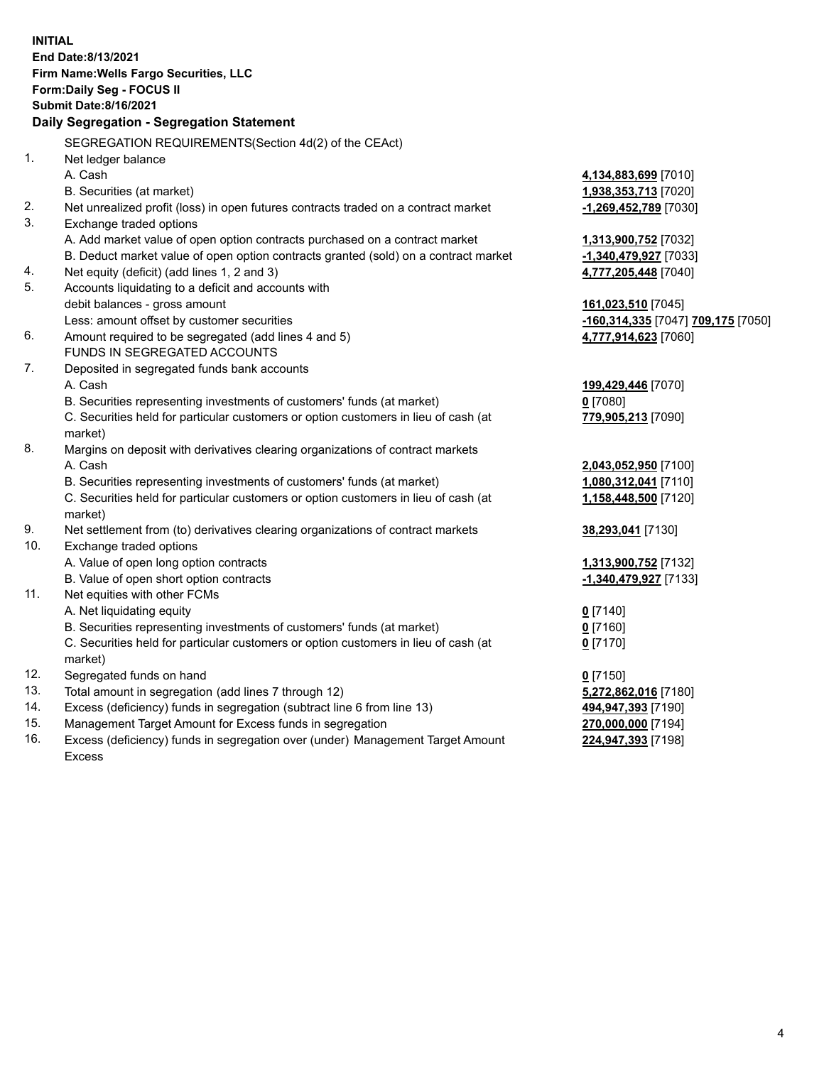**INITIAL End Date:8/13/2021 Firm Name:Wells Fargo Securities, LLC Form:Daily Seg - FOCUS II Submit Date:8/16/2021 Daily Segregation - Segregation Statement** SEGREGATION REQUIREMENTS(Section 4d(2) of the CEAct) 1. Net ledger balance A. Cash **4,134,883,699** [7010] B. Securities (at market) **1,938,353,713** [7020] 2. Net unrealized profit (loss) in open futures contracts traded on a contract market **-1,269,452,789** [7030] 3. Exchange traded options A. Add market value of open option contracts purchased on a contract market **1,313,900,752** [7032] B. Deduct market value of open option contracts granted (sold) on a contract market **-1,340,479,927** [7033] 4. Net equity (deficit) (add lines 1, 2 and 3) **4,777,205,448** [7040] 5. Accounts liquidating to a deficit and accounts with debit balances - gross amount **161,023,510** [7045] Less: amount offset by customer securities **-160,314,335** [7047] **709,175** [7050] 6. Amount required to be segregated (add lines 4 and 5) **4,777,914,623** [7060] FUNDS IN SEGREGATED ACCOUNTS 7. Deposited in segregated funds bank accounts A. Cash **199,429,446** [7070] B. Securities representing investments of customers' funds (at market) **0** [7080] C. Securities held for particular customers or option customers in lieu of cash (at market) **779,905,213** [7090] 8. Margins on deposit with derivatives clearing organizations of contract markets A. Cash **2,043,052,950** [7100] B. Securities representing investments of customers' funds (at market) **1,080,312,041** [7110] C. Securities held for particular customers or option customers in lieu of cash (at market) **1,158,448,500** [7120] 9. Net settlement from (to) derivatives clearing organizations of contract markets **38,293,041** [7130] 10. Exchange traded options A. Value of open long option contracts **1,313,900,752** [7132] B. Value of open short option contracts **-1,340,479,927** [7133] 11. Net equities with other FCMs A. Net liquidating equity **0** [7140] B. Securities representing investments of customers' funds (at market) **0** [7160] C. Securities held for particular customers or option customers in lieu of cash (at market) **0** [7170] 12. Segregated funds on hand **0** [7150] 13. Total amount in segregation (add lines 7 through 12) **5,272,862,016** [7180] 14. Excess (deficiency) funds in segregation (subtract line 6 from line 13) **494,947,393** [7190] 15. Management Target Amount for Excess funds in segregation **270,000,000** [7194] **224,947,393** [7198]

16. Excess (deficiency) funds in segregation over (under) Management Target Amount Excess